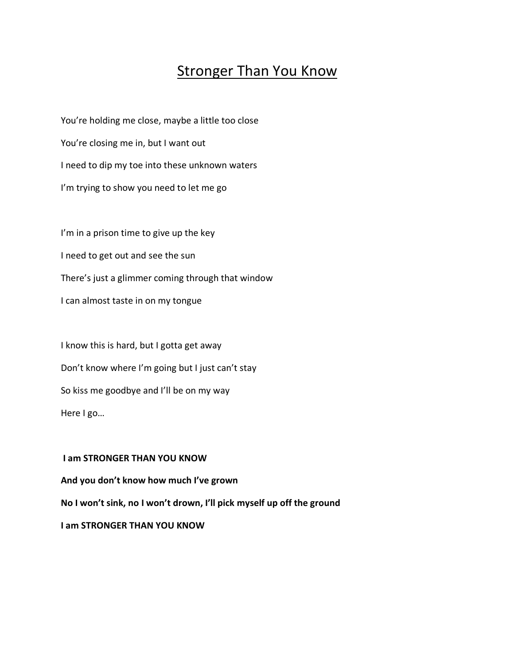## **Stronger Than You Know**

You're holding me close, maybe a little too close You're closing me in, but I want out I need to dip my toe into these unknown waters I'm trying to show you need to let me go

I'm in a prison time to give up the key I need to get out and see the sun There's just a glimmer coming through that window I can almost taste in on my tongue

I know this is hard, but I gotta get away Don't know where I'm going but I just can't stay So kiss me goodbye and I'll be on my way Here I go…

**I am STRONGER THAN YOU KNOW And you don't know how much I've grown No I won't sink, no I won't drown, I'll pick myself up off the ground I am STRONGER THAN YOU KNOW**